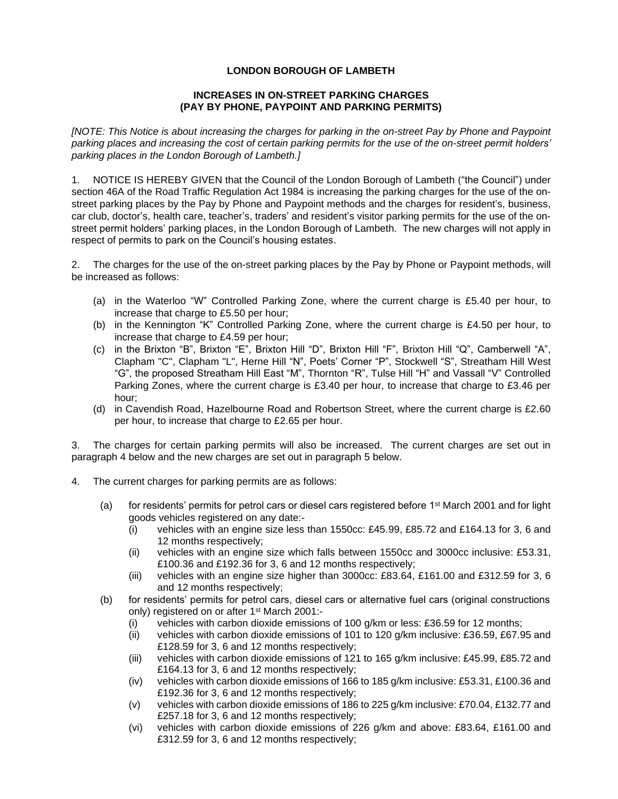## **LONDON BOROUGH OF LAMBETH**

## **INCREASES IN ON-STREET PARKING CHARGES (PAY BY PHONE, PAYPOINT AND PARKING PERMITS)**

*[NOTE: This Notice is about increasing the charges for parking in the on-street Pay by Phone and Paypoint parking places and increasing the cost of certain parking permits for the use of the on-street permit holders' parking places in the London Borough of Lambeth.]*

1. NOTICE IS HEREBY GIVEN that the Council of the London Borough of Lambeth ("the Council") under section 46A of the Road Traffic Regulation Act 1984 is increasing the parking charges for the use of the onstreet parking places by the Pay by Phone and Paypoint methods and the charges for resident's, business, car club, doctor's, health care, teacher's, traders' and resident's visitor parking permits for the use of the onstreet permit holders' parking places, in the London Borough of Lambeth. The new charges will not apply in respect of permits to park on the Council's housing estates.

2. The charges for the use of the on-street parking places by the Pay by Phone or Paypoint methods, will be increased as follows:

- (a) in the Waterloo "W" Controlled Parking Zone, where the current charge is £5.40 per hour, to increase that charge to £5.50 per hour;
- (b) in the Kennington "K" Controlled Parking Zone, where the current charge is £4.50 per hour, to increase that charge to £4.59 per hour;
- (c) in the Brixton "B", Brixton "E", Brixton Hill "D", Brixton Hill "F", Brixton Hill "Q", Camberwell "A", Clapham "C", Clapham "L", Herne Hill "N", Poets' Corner "P", Stockwell "S", Streatham Hill West "G", the proposed Streatham Hill East "M", Thornton "R", Tulse Hill "H" and Vassall "V" Controlled Parking Zones, where the current charge is £3.40 per hour, to increase that charge to £3.46 per hour;
- (d) in Cavendish Road, Hazelbourne Road and Robertson Street, where the current charge is £2.60 per hour, to increase that charge to £2.65 per hour.

3. The charges for certain parking permits will also be increased. The current charges are set out in paragraph 4 below and the new charges are set out in paragraph 5 below.

- 4. The current charges for parking permits are as follows:
	- (a) for residents' permits for petrol cars or diesel cars registered before 1st March 2001 and for light goods vehicles registered on any date:-
		- (i) vehicles with an engine size less than 1550cc: £45.99, £85.72 and £164.13 for 3, 6 and 12 months respectively;
		- (ii) vehicles with an engine size which falls between 1550cc and 3000cc inclusive: £53.31, £100.36 and £192.36 for 3, 6 and 12 months respectively;
		- (iii) vehicles with an engine size higher than 3000cc: £83.64, £161.00 and £312.59 for 3, 6 and 12 months respectively;
	- (b) for residents' permits for petrol cars, diesel cars or alternative fuel cars (original constructions only) registered on or after 1<sup>st</sup> March 2001:-
		- (i) vehicles with carbon dioxide emissions of 100 g/km or less: £36.59 for 12 months;
		- (ii) vehicles with carbon dioxide emissions of 101 to 120 g/km inclusive: £36.59, £67.95 and £128.59 for 3, 6 and 12 months respectively;
		- (iii) vehicles with carbon dioxide emissions of 121 to 165 g/km inclusive: £45.99, £85.72 and £164.13 for 3, 6 and 12 months respectively;
		- (iv) vehicles with carbon dioxide emissions of 166 to 185 g/km inclusive: £53.31, £100.36 and £192.36 for 3, 6 and 12 months respectively;
		- (v) vehicles with carbon dioxide emissions of 186 to 225 g/km inclusive: £70.04, £132.77 and £257.18 for 3, 6 and 12 months respectively;
		- (vi) vehicles with carbon dioxide emissions of 226 g/km and above: £83.64, £161.00 and £312.59 for 3, 6 and 12 months respectively;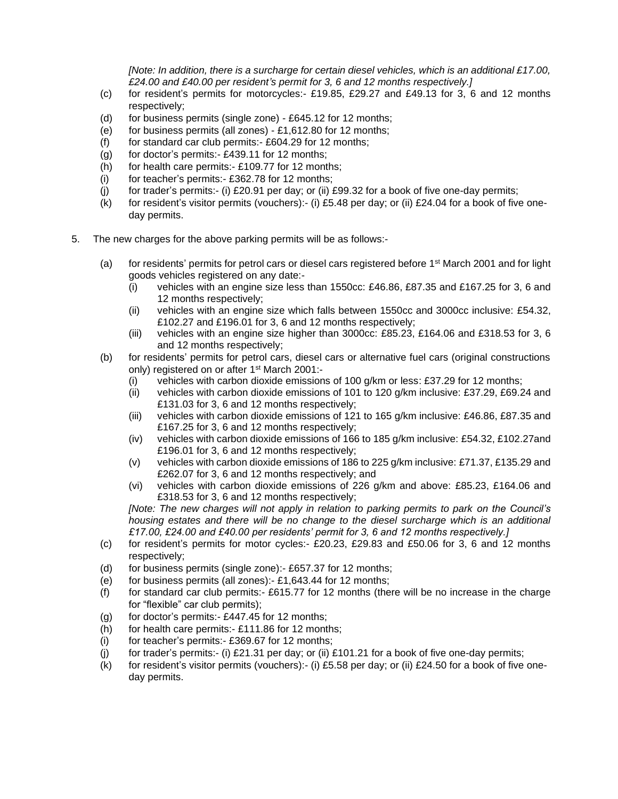*[Note: In addition, there is a surcharge for certain diesel vehicles, which is an additional £17.00, £24.00 and £40.00 per resident's permit for 3, 6 and 12 months respectively.]*

- (c) for resident's permits for motorcycles:- £19.85, £29.27 and £49.13 for 3, 6 and 12 months respectively;
- (d) for business permits (single zone) £645.12 for 12 months;
- (e) for business permits (all zones)  $£1,612.80$  for 12 months;
- (f) for standard car club permits:-  $£604.29$  for 12 months;
- (g) for doctor's permits:- £439.11 for 12 months;
- (h) for health care permits:- £109.77 for 12 months;
- (i) for teacher's permits:- £362.78 for 12 months;
- (i) for trader's permits:- (i)  $£20.91$  per day; or (ii)  $£99.32$  for a book of five one-day permits;
- (k) for resident's visitor permits (vouchers):- (i) £5.48 per day; or (ii) £24.04 for a book of five oneday permits.
- 5. The new charges for the above parking permits will be as follows:-
	- (a) for residents' permits for petrol cars or diesel cars registered before  $1<sup>st</sup>$  March 2001 and for light goods vehicles registered on any date:-
		- (i) vehicles with an engine size less than 1550cc: £46.86, £87.35 and £167.25 for 3, 6 and 12 months respectively;
		- (ii) vehicles with an engine size which falls between 1550cc and 3000cc inclusive: £54.32, £102.27 and £196.01 for 3, 6 and 12 months respectively;
		- (iii) vehicles with an engine size higher than 3000cc: £85.23, £164.06 and £318.53 for 3, 6 and 12 months respectively;
	- (b) for residents' permits for petrol cars, diesel cars or alternative fuel cars (original constructions only) registered on or after 1<sup>st</sup> March 2001:-
		- (i) vehicles with carbon dioxide emissions of 100 g/km or less: £37.29 for 12 months;
		- (ii) vehicles with carbon dioxide emissions of 101 to 120 g/km inclusive: £37.29, £69.24 and £131.03 for 3, 6 and 12 months respectively;
		- (iii) vehicles with carbon dioxide emissions of 121 to 165 g/km inclusive: £46.86, £87.35 and £167.25 for 3, 6 and 12 months respectively;
		- (iv) vehicles with carbon dioxide emissions of 166 to 185 g/km inclusive: £54.32, £102.27and £196.01 for 3, 6 and 12 months respectively;
		- (v) vehicles with carbon dioxide emissions of 186 to 225 g/km inclusive: £71.37, £135.29 and £262.07 for 3, 6 and 12 months respectively; and
		- (vi) vehicles with carbon dioxide emissions of 226 g/km and above: £85.23, £164.06 and £318.53 for 3, 6 and 12 months respectively;

*[Note: The new charges will not apply in relation to parking permits to park on the Council's housing estates and there will be no change to the diesel surcharge which is an additional £17.00, £24.00 and £40.00 per residents' permit for 3, 6 and 12 months respectively.]*

- (c) for resident's permits for motor cycles:- £20.23, £29.83 and £50.06 for 3, 6 and 12 months respectively;
- (d) for business permits (single zone):- £657.37 for 12 months;
- (e) for business permits (all zones):-  $£1,643.44$  for 12 months;
- (f) for standard car club permits:- $£615.77$  for 12 months (there will be no increase in the charge for "flexible" car club permits);
- (g) for doctor's permits:- $£447.45$  for 12 months;
- (h) for health care permits:-  $£111.86$  for 12 months;
- $(i)$  for teacher's permits:- £369.67 for 12 months;
- (j) for trader's permits:- (i)  $£21.31$  per day; or (ii)  $£101.21$  for a book of five one-day permits;
- (k) for resident's visitor permits (vouchers):- (i) £5.58 per day; or (ii) £24.50 for a book of five oneday permits.